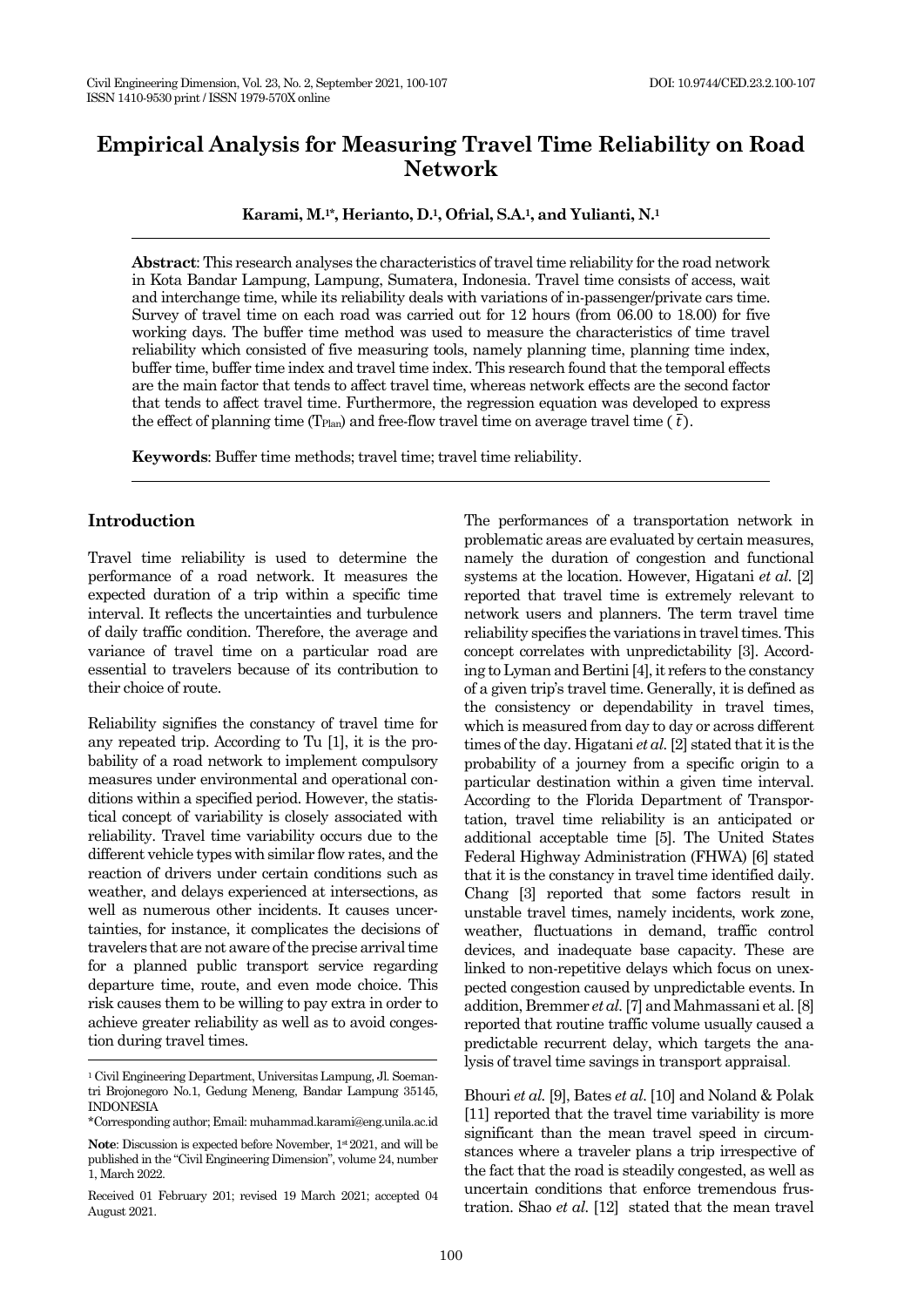# **Empirical Analysis for Measuring Travel Time Reliability on Road Network**

**Karami, M.1\*, Herianto, D.1, Ofrial, S.A.1, and Yulianti, N.<sup>1</sup>**

**Abstract**: This research analyses the characteristics of travel time reliability for the road network in Kota Bandar Lampung, Lampung, Sumatera, Indonesia. Travel time consists of access, wait and interchange time, while its reliability deals with variations of in-passenger/private cars time. Survey of travel time on each road was carried out for 12 hours (from 06.00 to 18.00) for five working days. The buffer time method was used to measure the characteristics of time travel reliability which consisted of five measuring tools, namely planning time, planning time index, buffer time, buffer time index and travel time index. This research found that the temporal effects are the main factor that tends to affect travel time, whereas network effects are the second factor that tends to affect travel time. Furthermore, the regression equation was developed to express the effect of planning time (T<sub>Plan</sub>) and free-flow travel time on average travel time ( $\bar{t}$ ).

**Keywords**: Buffer time methods; travel time; travel time reliability.

### **Introduction**

Travel time reliability is used to determine the performance of a road network. It measures the expected duration of a trip within a specific time interval. It reflects the uncertainties and turbulence of daily traffic condition. Therefore, the average and variance of travel time on a particular road are essential to travelers because of its contribution to their choice of route.

Reliability signifies the constancy of travel time for any repeated trip. According to Tu [1], it is the probability of a road network to implement compulsory measures under environmental and operational conditions within a specified period. However, the statistical concept of variability is closely associated with reliability. Travel time variability occurs due to the different vehicle types with similar flow rates, and the reaction of drivers under certain conditions such as weather, and delays experienced at intersections, as well as numerous other incidents. It causes uncertainties, for instance, it complicates the decisions of travelers that are not aware of the precise arrival time for a planned public transport service regarding departure time, route, and even mode choice. This risk causes them to be willing to pay extra in order to achieve greater reliability as well as to avoid congestion during travel times.

The performances of a transportation network in problematic areas are evaluated by certain measures, namely the duration of congestion and functional systems at the location. However, Higatani *et al.* [2] reported that travel time is extremely relevant to network users and planners. The term travel time reliability specifies the variations in travel times. This concept correlates with unpredictability [3]. According to Lyman and Bertini $[4]$ , it refers to the constancy of a given trip's travel time. Generally, it is defined as the consistency or dependability in travel times, which is measured from day to day or across different times of the day. Higatani *et al.*[2] stated that it is the probability of a journey from a specific origin to a particular destination within a given time interval. According to the Florida Department of Transportation, travel time reliability is an anticipated or additional acceptable time [5]. The United States Federal Highway Administration (FHWA) [6] stated that it is the constancy in travel time identified daily. Chang [3] reported that some factors result in unstable travel times, namely incidents, work zone, weather, fluctuations in demand, traffic control devices, and inadequate base capacity. These are linked to non-repetitive delays which focus on unexpected congestion caused by unpredictable events. In addition, Bremmer *et al.*[7] and Mahmassani et al. [8] reported that routine traffic volume usually caused a predictable recurrent delay, which targets the analysis of travel time savings in transport appraisal.

Bhouri *et al.* [9], Bates *et al*. [10] and Noland & Polak [11] reported that the travel time variability is more significant than the mean travel speed in circumstances where a traveler plans a trip irrespective of the fact that the road is steadily congested, as well as uncertain conditions that enforce tremendous frustration. Shao *et al.* [12] stated that the mean travel

<sup>1</sup> Civil Engineering Department, Universitas Lampung, Jl. Soemantri Brojonegoro No.1, Gedung Meneng, Bandar Lampung 35145, INDONESIA

<sup>\*</sup>Corresponding author; Email: muhammad.karami@eng.unila.ac.id

**Note**: Discussion is expected before November,  $1*2021$ , and will be published in the "Civil Engineering Dimension", volume 24, number 1, March 2022.

Received 01 February 201; revised 19 March 2021; accepted 04 August 2021.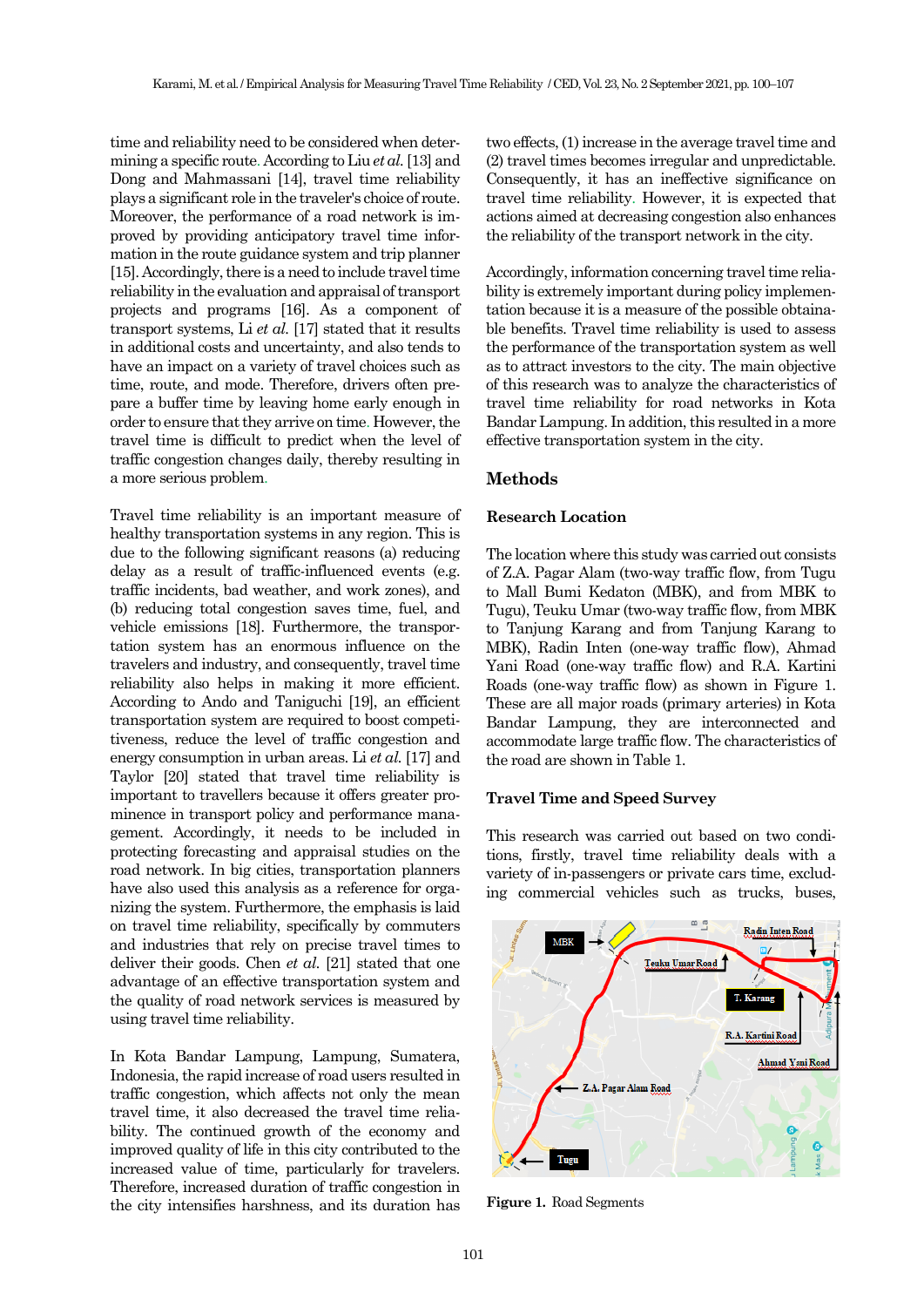time and reliability need to be considered when determining a specific route. According to Liu *et al.*[13] and Dong and Mahmassani [14], travel time reliability plays a significant role in the traveler's choice of route. Moreover, the performance of a road network is improved by providing anticipatory travel time information in the route guidance system and trip planner [15]. Accordingly, there is a need to include travel time reliability in the evaluation and appraisal of transport projects and programs [16]. As a component of transport systems, Li *et al.* [17] stated that it results in additional costs and uncertainty, and also tends to have an impact on a variety of travel choices such as time, route, and mode. Therefore, drivers often prepare a buffer time by leaving home early enough in order to ensure that they arrive on time. However, the travel time is difficult to predict when the level of traffic congestion changes daily, thereby resulting in a more serious problem.

Travel time reliability is an important measure of healthy transportation systems in any region. This is due to the following significant reasons (a) reducing delay as a result of traffic-influenced events (e.g. traffic incidents, bad weather, and work zones), and (b) reducing total congestion saves time, fuel, and vehicle emissions [18]. Furthermore, the transportation system has an enormous influence on the travelers and industry, and consequently, travel time reliability also helps in making it more efficient. According to Ando and Taniguchi [19], an efficient transportation system are required to boost competitiveness, reduce the level of traffic congestion and energy consumption in urban areas. Li *et al.* [17] and Taylor [20] stated that travel time reliability is important to travellers because it offers greater prominence in transport policy and performance management. Accordingly, it needs to be included in protecting forecasting and appraisal studies on the road network. In big cities, transportation planners have also used this analysis as a reference for organizing the system. Furthermore, the emphasis is laid on travel time reliability, specifically by commuters and industries that rely on precise travel times to deliver their goods. Chen *et al.* [21] stated that one advantage of an effective transportation system and the quality of road network services is measured by using travel time reliability.

In Kota Bandar Lampung, Lampung, Sumatera, Indonesia, the rapid increase of road users resulted in traffic congestion, which affects not only the mean travel time, it also decreased the travel time reliability. The continued growth of the economy and improved quality of life in this city contributed to the increased value of time, particularly for travelers. Therefore, increased duration of traffic congestion in the city intensifies harshness, and its duration has two effects, (1) increase in the average travel time and (2) travel times becomes irregular and unpredictable. Consequently, it has an ineffective significance on travel time reliability. However, it is expected that actions aimed at decreasing congestion also enhances the reliability of the transport network in the city.

Accordingly, information concerning travel time reliability is extremely important during policy implementation because it is a measure of the possible obtainable benefits. Travel time reliability is used to assess the performance of the transportation system as well as to attract investors to the city. The main objective of this research was to analyze the characteristics of travel time reliability for road networks in Kota Bandar Lampung. In addition, this resulted in a more effective transportation system in the city.

# **Methods**

#### **Research Location**

The location where this study was carried out consists of Z.A. Pagar Alam (two-way traffic flow, from Tugu to Mall Bumi Kedaton (MBK), and from MBK to Tugu), Teuku Umar (two-way traffic flow, from MBK to Tanjung Karang and from Tanjung Karang to MBK), Radin Inten (one-way traffic flow), Ahmad Yani Road (one-way traffic flow) and R.A. Kartini Roads (one-way traffic flow) as shown in Figure 1. These are all major roads (primary arteries) in Kota Bandar Lampung, they are interconnected and accommodate large traffic flow. The characteristics of the road are shown in Table 1.

## **Travel Time and Speed Survey**

This research was carried out based on two conditions, firstly, travel time reliability deals with a variety of in-passengers or private cars time, excluding commercial vehicles such as trucks, buses,



**Figure 1.** Road Segments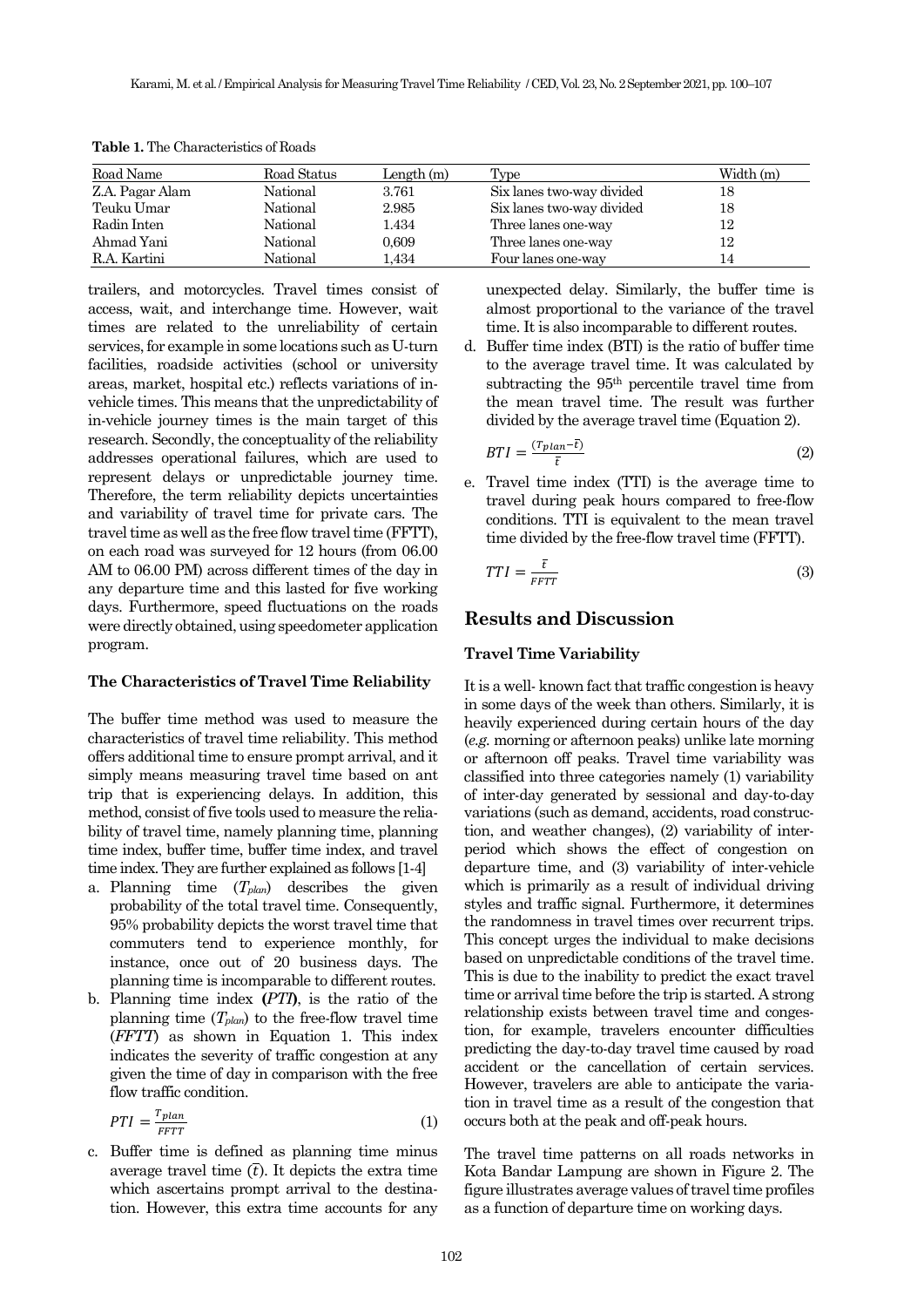| Road Name       | Road Status | Length $(m)$ | Type                      | Width (m) |
|-----------------|-------------|--------------|---------------------------|-----------|
| Z.A. Pagar Alam | National    | 3.761        | Six lanes two-way divided | 18        |
| Teuku Umar      | National    | 2.985        | Six lanes two-way divided | 18        |
| Radin Inten     | National    | 1.434        | Three lanes one-way       | 12        |
| Ahmad Yani      | National    | 0,609        | Three lanes one-way       | 12        |
| R.A. Kartini    | National    | l.434        | Four lanes one-way        | 14        |

**Table 1.** The Characteristics of Roads

trailers, and motorcycles. Travel times consist of access, wait, and interchange time. However, wait times are related to the unreliability of certain services, for example in some locations such as U-turn facilities, roadside activities (school or university areas, market, hospital etc.) reflects variations of invehicle times. This means that the unpredictability of in-vehicle journey times is the main target of this research. Secondly, the conceptuality of the reliability addresses operational failures, which are used to represent delays or unpredictable journey time. Therefore, the term reliability depicts uncertainties and variability of travel time for private cars. The travel time as well as the free flow travel time (FFTT), on each road was surveyed for 12 hours (from 06.00 AM to 06.00 PM) across different times of the day in any departure time and this lasted for five working days. Furthermore, speed fluctuations on the roads were directly obtained, using speedometer application program.

#### **The Characteristics of Travel Time Reliability**

The buffer time method was used to measure the characteristics of travel time reliability. This method offers additional time to ensure prompt arrival, and it simply means measuring travel time based on ant trip that is experiencing delays. In addition, this method, consist of five tools used to measure the reliability of travel time, namely planning time, planning time index, buffer time, buffer time index, and travel time index. They are further explained as follows [1-4]

- a. Planning time (*Tplan*) describes the given probability of the total travel time. Consequently, 95% probability depicts the worst travel time that commuters tend to experience monthly, for instance, once out of 20 business days. The planning time is incomparable to different routes.
- b. Planning time index **(***PTI***)**, is the ratio of the planning time (*Tplan*) to the free-flow travel time (*FFTT*) as shown in Equation 1. This index indicates the severity of traffic congestion at any given the time of day in comparison with the free flow traffic condition.

$$
PTI = \frac{T_{plan}}{FFT} \tag{1}
$$

c. Buffer time is defined as planning time minus average travel time  $(\overline{t})$ . It depicts the extra time which ascertains prompt arrival to the destination. However, this extra time accounts for any

unexpected delay. Similarly, the buffer time is almost proportional to the variance of the travel time. It is also incomparable to different routes.

d. Buffer time index (BTI) is the ratio of buffer time to the average travel time. It was calculated by subtracting the 95th percentile travel time from the mean travel time. The result was further divided by the average travel time (Equation 2).

$$
BTI = \frac{(T_{plan} - t)}{\overline{t}}\tag{2}
$$

e. Travel time index (TTI) is the average time to travel during peak hours compared to free-flow conditions. TTI is equivalent to the mean travel time divided by the free-flow travel time (FFTT).

$$
TTI = \frac{\bar{t}}{FFT}
$$
 (3)

### **Results and Discussion**

#### **Travel Time Variability**

It is a well- known fact that traffic congestion is heavy in some days of the week than others. Similarly, it is heavily experienced during certain hours of the day (*e.g.* morning or afternoon peaks) unlike late morning or afternoon off peaks. Travel time variability was classified into three categories namely (1) variability of inter-day generated by sessional and day-to-day variations (such as demand, accidents, road construction, and weather changes), (2) variability of interperiod which shows the effect of congestion on departure time, and (3) variability of inter-vehicle which is primarily as a result of individual driving styles and traffic signal. Furthermore, it determines the randomness in travel times over recurrent trips. This concept urges the individual to make decisions based on unpredictable conditions of the travel time. This is due to the inability to predict the exact travel time or arrival time before the trip is started. A strong relationship exists between travel time and congestion, for example, travelers encounter difficulties predicting the day-to-day travel time caused by road accident or the cancellation of certain services. However, travelers are able to anticipate the variation in travel time as a result of the congestion that occurs both at the peak and off-peak hours.

The travel time patterns on all roads networks in Kota Bandar Lampung are shown in Figure 2. The figure illustrates average values of travel time profiles as a function of departure time on working days.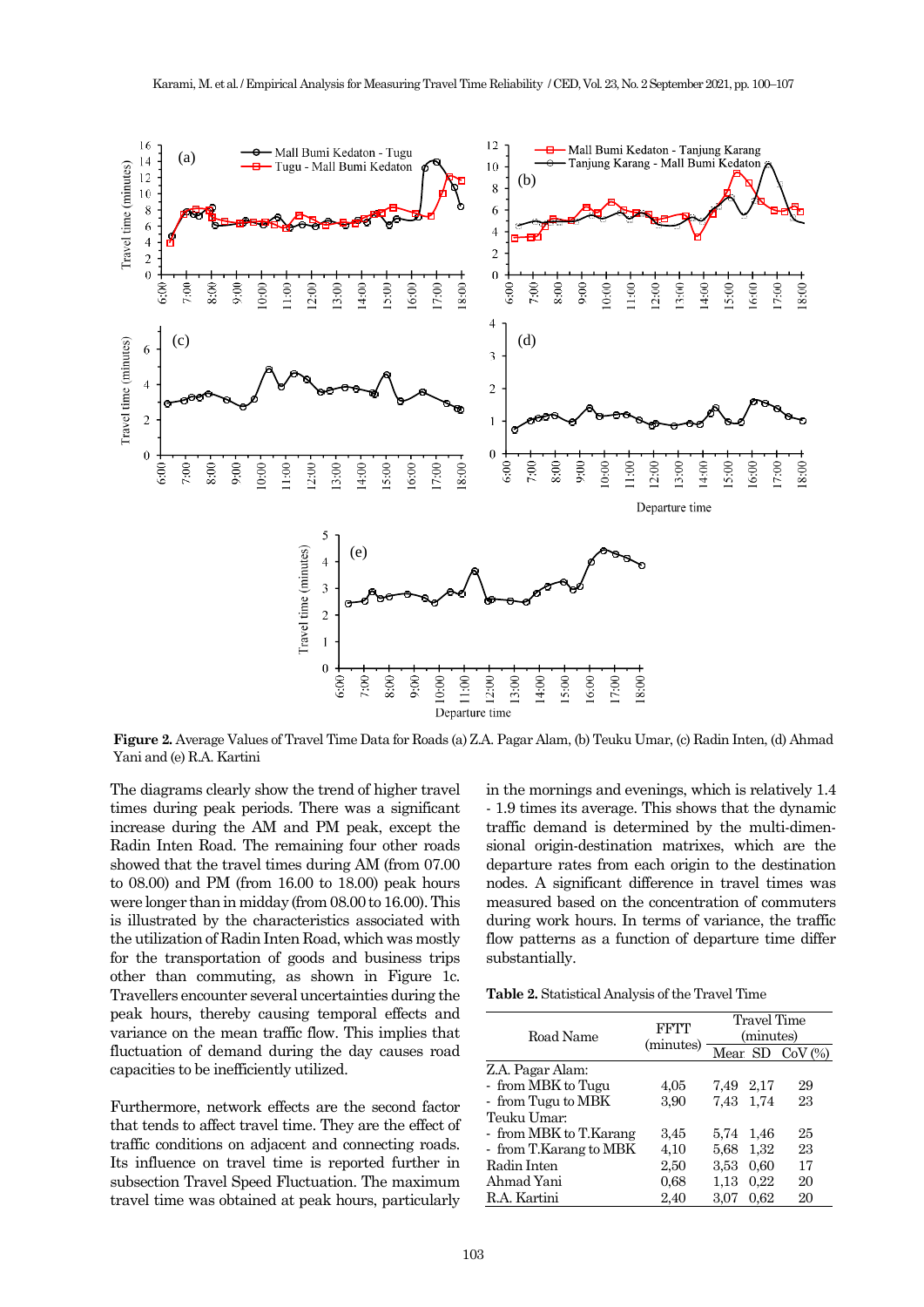

**Figure 2.** Average Values of Travel Time Data for Roads (a) Z.A. Pagar Alam, (b) Teuku Umar, (c) Radin Inten, (d) Ahmad Yani and (e) R.A. Kartini

The diagrams clearly show the trend of higher travel times during peak periods. There was a significant increase during the AM and PM peak, except the Radin Inten Road. The remaining four other roads showed that the travel times during AM (from 07.00 to 08.00) and PM (from 16.00 to 18.00) peak hours were longer than in midday (from 08.00 to 16.00). This is illustrated by the characteristics associated with the utilization of Radin Inten Road, which was mostly for the transportation of goods and business trips other than commuting, as shown in Figure 1c. Travellers encounter several uncertainties during the peak hours, thereby causing temporal effects and variance on the mean traffic flow. This implies that fluctuation of demand during the day causes road capacities to be inefficiently utilized.

Furthermore, network effects are the second factor that tends to affect travel time. They are the effect of traffic conditions on adjacent and connecting roads. Its influence on travel time is reported further in subsection Travel Speed Fluctuation. The maximum travel time was obtained at peak hours, particularly in the mornings and evenings, which is relatively 1.4 - 1.9 times its average. This shows that the dynamic traffic demand is determined by the multi-dimensional origin-destination matrixes, which are the departure rates from each origin to the destination nodes. A significant difference in travel times was measured based on the concentration of commuters during work hours. In terms of variance, the traffic flow patterns as a function of departure time differ substantially.

**Table 2.** Statistical Analysis of the Travel Time

| Road Name              | FFTT      | Travel Time<br>(minutes) |      |                   |  |
|------------------------|-----------|--------------------------|------|-------------------|--|
|                        | (minutes) |                          |      | Mear SD $CoV$ $%$ |  |
| Z.A. Pagar Alam:       |           |                          |      |                   |  |
| - from MBK to Tugu     | 4,05      | 7,49 2,17                |      | 29                |  |
| - from Tugu to MBK     | 3.90      | 7,43                     | 1.74 | 23                |  |
| Teuku Umar:            |           |                          |      |                   |  |
| - from MBK to T.Karang | 3.45      | 5.74                     | 1,46 | 25                |  |
| - from T.Karang to MBK | 4,10      | 5.68                     | 1.32 | 23                |  |
| Radin Inten            | 2,50      | 3.53                     | 0.60 | 17                |  |
| Ahmad Yani             | 0.68      | 1.13                     | 0.22 | 20                |  |
| R.A. Kartini           | 2,40      | 3.07                     | 0.62 | 20                |  |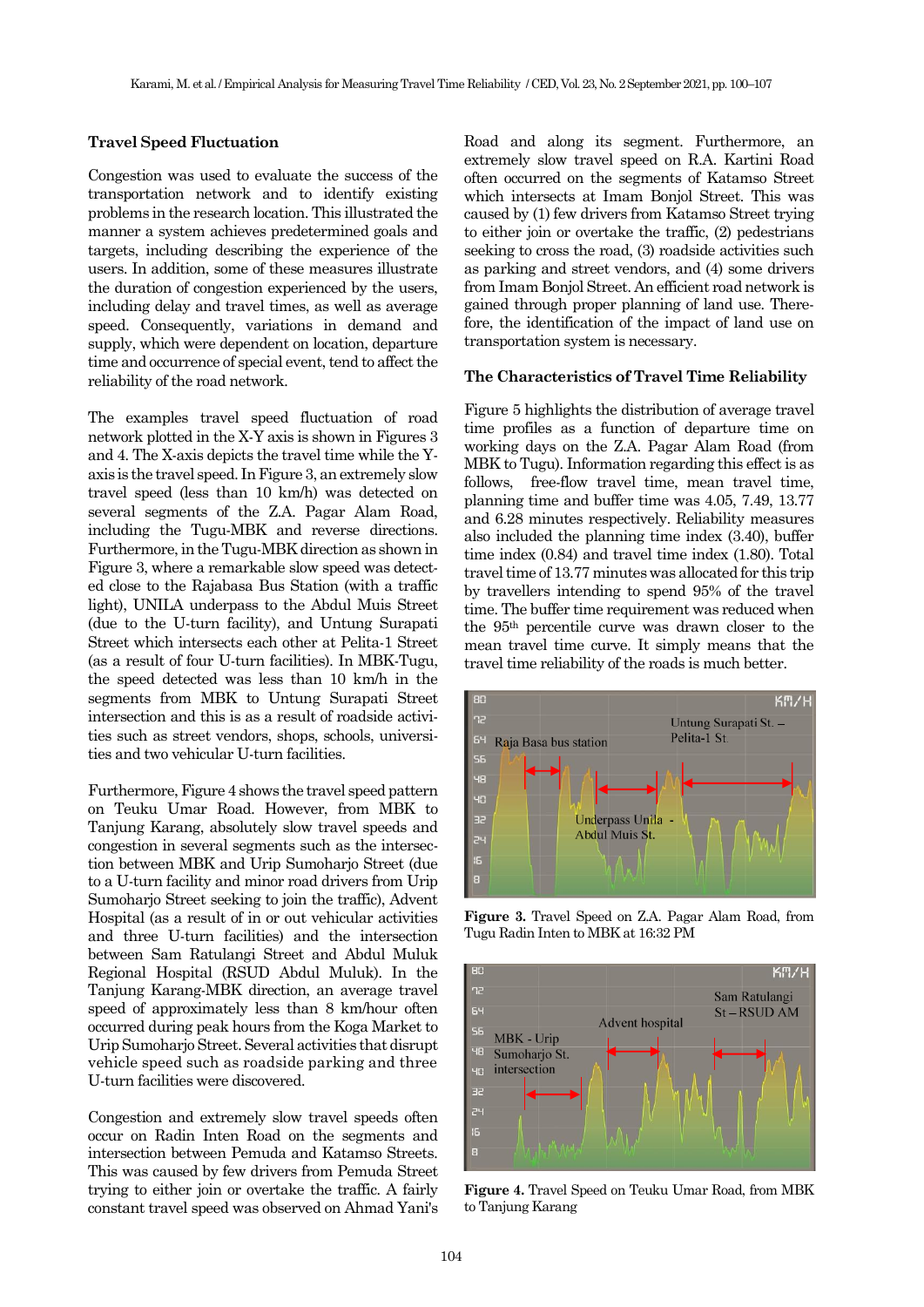#### **Travel Speed Fluctuation**

Congestion was used to evaluate the success of the transportation network and to identify existing problems in the research location. This illustrated the manner a system achieves predetermined goals and targets, including describing the experience of the users. In addition, some of these measures illustrate the duration of congestion experienced by the users, including delay and travel times, as well as average speed. Consequently, variations in demand and supply, which were dependent on location, departure time and occurrence of special event, tend to affect the reliability of the road network.

The examples travel speed fluctuation of road network plotted in the X-Y axis is shown in Figures 3 and 4. The X-axis depicts the travel time while the Yaxis is the travel speed. In Figure 3, an extremely slow travel speed (less than 10 km/h) was detected on several segments of the Z.A. Pagar Alam Road, including the Tugu-MBK and reverse directions. Furthermore, in the Tugu-MBK direction as shown in Figure 3, where a remarkable slow speed was detected close to the Rajabasa Bus Station (with a traffic light), UNILA underpass to the Abdul Muis Street (due to the U-turn facility), and Untung Surapati Street which intersects each other at Pelita-1 Street (as a result of four U-turn facilities). In MBK-Tugu, the speed detected was less than 10 km/h in the segments from MBK to Untung Surapati Street intersection and this is as a result of roadside activities such as street vendors, shops, schools, universities and two vehicular U-turn facilities.

Furthermore, Figure 4 shows the travel speed pattern on Teuku Umar Road. However, from MBK to Tanjung Karang, absolutely slow travel speeds and congestion in several segments such as the intersection between MBK and Urip Sumoharjo Street (due to a U-turn facility and minor road drivers from Urip Sumoharjo Street seeking to join the traffic), Advent Hospital (as a result of in or out vehicular activities and three U-turn facilities) and the intersection between Sam Ratulangi Street and Abdul Muluk Regional Hospital (RSUD Abdul Muluk). In the Tanjung Karang-MBK direction, an average travel speed of approximately less than 8 km/hour often occurred during peak hours from the Koga Market to Urip Sumoharjo Street. Several activities that disrupt vehicle speed such as roadside parking and three U-turn facilities were discovered.

Congestion and extremely slow travel speeds often occur on Radin Inten Road on the segments and intersection between Pemuda and Katamso Streets. This was caused by few drivers from Pemuda Street trying to either join or overtake the traffic. A fairly constant travel speed was observed on Ahmad Yani's Road and along its segment. Furthermore, an extremely slow travel speed on R.A. Kartini Road often occurred on the segments of Katamso Street which intersects at Imam Bonjol Street. This was caused by (1) few drivers from Katamso Street trying to either join or overtake the traffic, (2) pedestrians seeking to cross the road, (3) roadside activities such as parking and street vendors, and (4) some drivers from Imam Bonjol Street. An efficient road network is gained through proper planning of land use. Therefore, the identification of the impact of land use on transportation system is necessary.

#### **The Characteristics of Travel Time Reliability**

Figure 5 highlights the distribution of average travel time profiles as a function of departure time on working days on the Z.A. Pagar Alam Road (from MBK to Tugu). Information regarding this effect is as follows, free-flow travel time, mean travel time, planning time and buffer time was 4.05, 7.49, 13.77 and 6.28 minutes respectively. Reliability measures also included the planning time index (3.40), buffer time index (0.84) and travel time index (1.80). Total travel time of 13.77 minutes was allocated for this trip by travellers intending to spend 95% of the travel time. The buffer time requirement was reduced when the 95th percentile curve was drawn closer to the mean travel time curve. It simply means that the travel time reliability of the roads is much better.



**Figure 3.** Travel Speed on Z.A. Pagar Alam Road, from Tugu Radin Inten to MBK at 16:32 PM



**Figure 4.** Travel Speed on Teuku Umar Road, from MBK to Tanjung Karang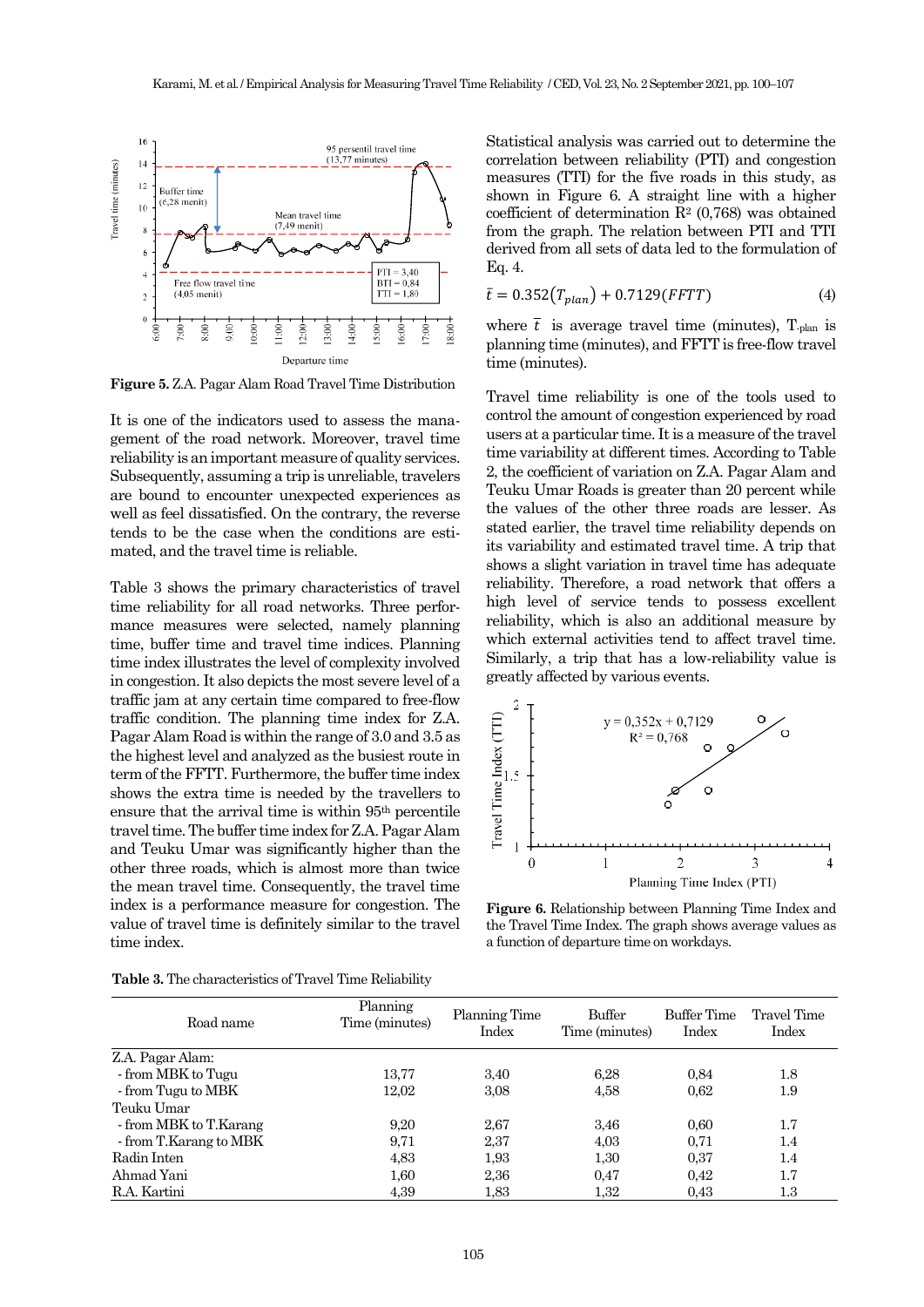

**Figure 5.** Z.A. Pagar Alam Road Travel Time Distribution

It is one of the indicators used to assess the management of the road network. Moreover, travel time reliability is an important measure of quality services. Subsequently, assuming a trip is unreliable, travelers are bound to encounter unexpected experiences as well as feel dissatisfied. On the contrary, the reverse tends to be the case when the conditions are estimated, and the travel time is reliable.

Table 3 shows the primary characteristics of travel time reliability for all road networks. Three performance measures were selected, namely planning time, buffer time and travel time indices. Planning time index illustrates the level of complexity involved in congestion. It also depicts the most severe level of a traffic jam at any certain time compared to free-flow traffic condition. The planning time index for Z.A. Pagar Alam Road is within the range of 3.0 and 3.5 as the highest level and analyzed as the busiest route in term of the FFTT. Furthermore, the buffer time index shows the extra time is needed by the travellers to ensure that the arrival time is within 95th percentile travel time. The buffer time index for Z.A. Pagar Alam and Teuku Umar was significantly higher than the other three roads, which is almost more than twice the mean travel time. Consequently, the travel time index is a performance measure for congestion. The value of travel time is definitely similar to the travel time index.

Statistical analysis was carried out to determine the correlation between reliability (PTI) and congestion measures (TTI) for the five roads in this study, as shown in Figure 6. A straight line with a higher coefficient of determination  $\mathbb{R}^2$  (0,768) was obtained from the graph. The relation between PTI and TTI derived from all sets of data led to the formulation of Eq. 4.

$$
\bar{t} = 0.352(T_{plan}) + 0.7129(FFTT)
$$
\n(4)

where  $\overline{t}$  is average travel time (minutes), T<sub>-plan</sub> is planning time (minutes), and FFTT is free-flow travel time (minutes).

Travel time reliability is one of the tools used to control the amount of congestion experienced by road users at a particular time. It is a measure of the travel time variability at different times. According to Table 2, the coefficient of variation on Z.A. Pagar Alam and Teuku Umar Roads is greater than 20 percent while the values of the other three roads are lesser. As stated earlier, the travel time reliability depends on its variability and estimated travel time. A trip that shows a slight variation in travel time has adequate reliability. Therefore, a road network that offers a high level of service tends to possess excellent reliability, which is also an additional measure by which external activities tend to affect travel time. Similarly, a trip that has a low-reliability value is greatly affected by various events.



**Figure 6.** Relationship between Planning Time Index and the Travel Time Index. The graph shows average values as a function of departure time on workdays.

| Road name              | Planning<br>Time (minutes) | Planning Time<br>Index | Buffer<br>Time (minutes) | Buffer Time<br>Index | Travel Time<br>Index |
|------------------------|----------------------------|------------------------|--------------------------|----------------------|----------------------|
| Z.A. Pagar Alam:       |                            |                        |                          |                      |                      |
| - from MBK to Tugu     | 13,77                      | 3,40                   | 6.28                     | 0.84                 | 1.8                  |
| - from Tugu to MBK     | 12,02                      | 3,08                   | 4,58                     | 0.62                 | 1.9                  |
| Teuku Umar             |                            |                        |                          |                      |                      |
| - from MBK to T.Karang | 9.20                       | 2,67                   | 3.46                     | 0.60                 | 1.7                  |
| - from T.Karang to MBK | 9.71                       | 2,37                   | 4,03                     | 0.71                 | 1.4                  |
| Radin Inten            | 4,83                       | 1,93                   | 1,30                     | 0.37                 | 1.4                  |
| Ahmad Yani             | 1,60                       | 2,36                   | 0,47                     | 0,42                 | 1.7                  |
| R.A. Kartini           | 4,39                       | 1,83                   | 1,32                     | 0.43                 | 1.3                  |

**Table 3.** The characteristics of Travel Time Reliability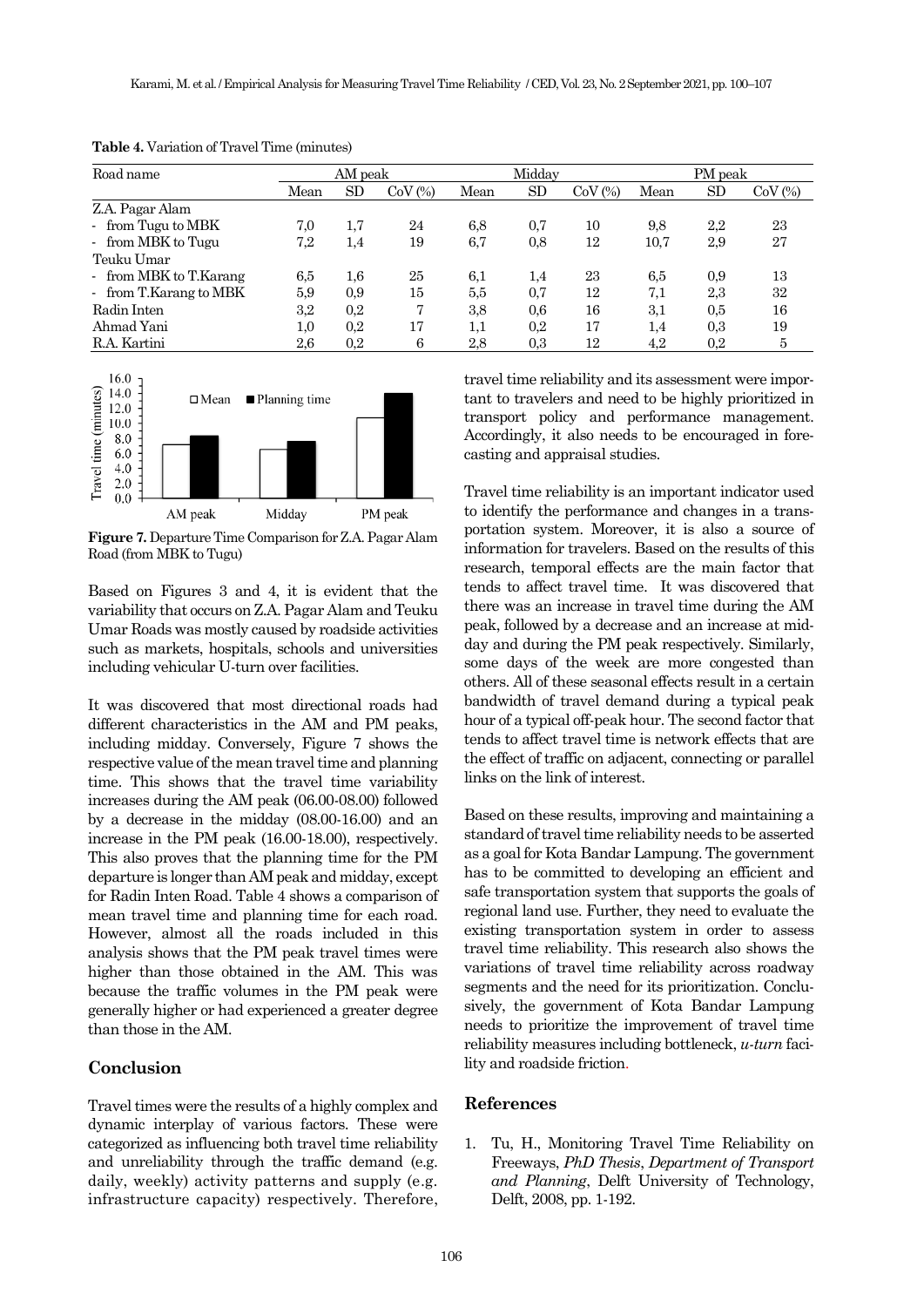| Road name              | AM peak |         | Midday       |      |     | PM peak      |      |         |              |
|------------------------|---------|---------|--------------|------|-----|--------------|------|---------|--------------|
|                        | Mean    | SD      | $CoV$ $(\%)$ | Mean | SD  | $CoV$ $(\%)$ | Mean | SD      | $CoV$ $(\%)$ |
| Z.A. Pagar Alam        |         |         |              |      |     |              |      |         |              |
| - from Tugu to MBK     | 7.0     | 1,7     | 24           | 6,8  | 0,7 | 10           | 9,8  | $2.2\,$ | 23           |
| - from MBK to Tugu     | 7,2     | 1,4     | 19           | 6,7  | 0,8 | 12           | 10,7 | 2,9     | 27           |
| Teuku Umar             |         |         |              |      |     |              |      |         |              |
| - from MBK to T.Karang | 6,5     | $1.6\,$ | 25           | 6.1  | 1,4 | 23           | 6,5  | 0,9     | 13           |
| - from T.Karang to MBK | 5,9     | 0,9     | 15           | 5,5  | 0,7 | 12           | 7,1  | 2,3     | 32           |
| Radin Inten            | 3,2     | 0.2     | 7            | 3,8  | 0,6 | 16           | 3,1  | 0.5     | 16           |
| Ahmad Yani             | $1.0\,$ | 0.2     | 17           | 1,1  | 0,2 | 17           | 1,4  | 0,3     | 19           |
| R.A. Kartini           | 2,6     | 0.2     | 6            | 2,8  | 0,3 | 12           | 4,2  | 0,2     | 5            |

**Table 4.** Variation of Travel Time (minutes)



**Figure 7.** Departure Time Comparison for Z.A. Pagar Alam Road (from MBK to Tugu)

Based on Figures 3 and 4, it is evident that the variability that occurs on Z.A. Pagar Alam and Teuku Umar Roads was mostly caused by roadside activities such as markets, hospitals, schools and universities including vehicular U-turn over facilities.

It was discovered that most directional roads had different characteristics in the AM and PM peaks, including midday. Conversely, Figure 7 shows the respective value of the mean travel time and planning time. This shows that the travel time variability increases during the AM peak (06.00-08.00) followed by a decrease in the midday (08.00-16.00) and an increase in the PM peak (16.00-18.00), respectively. This also proves that the planning time for the PM departure is longer than AM peak and midday, except for Radin Inten Road. Table 4 shows a comparison of mean travel time and planning time for each road. However, almost all the roads included in this analysis shows that the PM peak travel times were higher than those obtained in the AM. This was because the traffic volumes in the PM peak were generally higher or had experienced a greater degree than those in the AM.

# **Conclusion**

Travel times were the results of a highly complex and dynamic interplay of various factors. These were categorized as influencing both travel time reliability and unreliability through the traffic demand (e.g. daily, weekly) activity patterns and supply (e.g. infrastructure capacity) respectively. Therefore, travel time reliability and its assessment were important to travelers and need to be highly prioritized in transport policy and performance management. Accordingly, it also needs to be encouraged in forecasting and appraisal studies.

Travel time reliability is an important indicator used to identify the performance and changes in a transportation system. Moreover, it is also a source of information for travelers. Based on the results of this research, temporal effects are the main factor that tends to affect travel time. It was discovered that there was an increase in travel time during the AM peak, followed by a decrease and an increase at midday and during the PM peak respectively. Similarly, some days of the week are more congested than others. All of these seasonal effects result in a certain bandwidth of travel demand during a typical peak hour of a typical off-peak hour. The second factor that tends to affect travel time is network effects that are the effect of traffic on adjacent, connecting or parallel links on the link of interest.

Based on these results, improving and maintaining a standard of travel time reliability needs to be asserted as a goal for Kota Bandar Lampung. The government has to be committed to developing an efficient and safe transportation system that supports the goals of regional land use. Further, they need to evaluate the existing transportation system in order to assess travel time reliability. This research also shows the variations of travel time reliability across roadway segments and the need for its prioritization. Conclusively, the government of Kota Bandar Lampung needs to prioritize the improvement of travel time reliability measures including bottleneck, *u-turn* facility and roadside friction.

#### **References**

1. Tu, H., Monitoring Travel Time Reliability on Freeways, *PhD Thesis*, *Department of Transport and Planning*, Delft University of Technology, Delft, 2008, pp. 1-192.